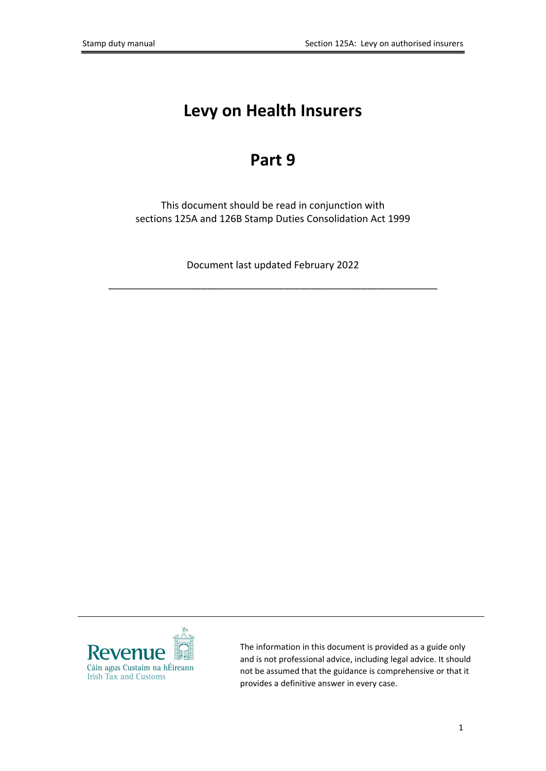# **Levy on Health Insurers**

# **Part 9**

This document should be read in conjunction with sections 125A and 126B Stamp Duties Consolidation Act 1999

Document last updated February 2022

\_\_\_\_\_\_\_\_\_\_\_\_\_\_\_\_\_\_\_\_\_\_\_\_\_\_\_\_\_\_\_\_\_\_\_\_\_\_\_\_\_\_\_\_\_\_\_\_\_\_\_\_\_\_\_\_\_\_\_\_



The information in this document is provided as a guide only and is not professional advice, including legal advice. It should not be assumed that the guidance is comprehensive or that it provides a definitive answer in every case.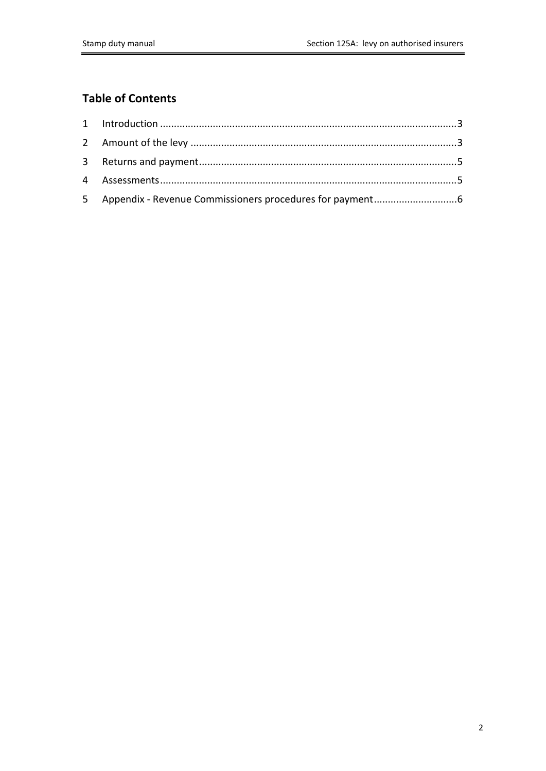## **Table of Contents**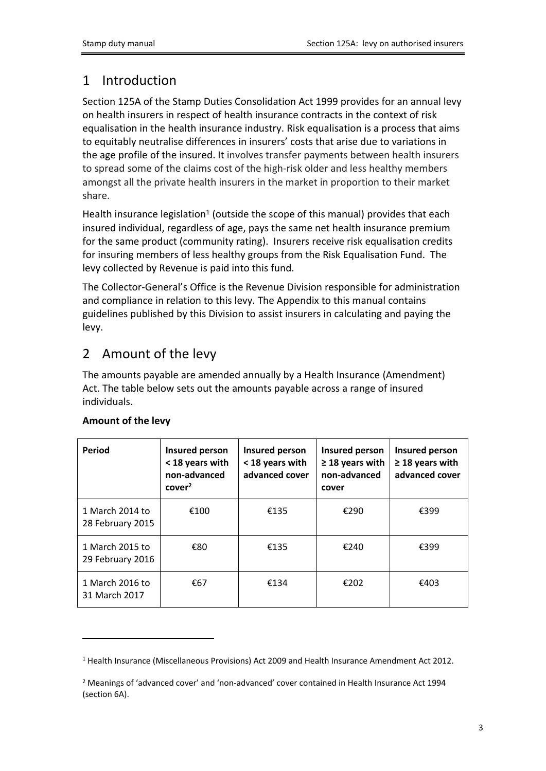# <span id="page-2-0"></span>1 Introduction

Section 125A of the Stamp Duties Consolidation Act 1999 provides for an annual levy on health insurers in respect of health insurance contracts in the context of risk equalisation in the health insurance industry. Risk equalisation is a process that aims to equitably neutralise differences in insurers' costs that arise due to variations in the age profile of the insured. It involves transfer payments between health insurers to spread some of the claims cost of the high-risk older and less healthy members amongst all the private health insurers in the market in proportion to their market share.

Health insurance legislation<sup>1</sup> (outside the scope of this manual) provides that each insured individual, regardless of age, pays the same net health insurance premium for the same product (community rating). Insurers receive risk equalisation credits for insuring members of less healthy groups from the Risk Equalisation Fund. The levy collected by Revenue is paid into this fund.

The Collector-General's Office is the Revenue Division responsible for administration and compliance in relation to this levy. The Appendix to this manual contains guidelines published by this Division to assist insurers in calculating and paying the levy.

## <span id="page-2-1"></span>2 Amount of the levy

The amounts payable are amended annually by a Health Insurance (Amendment) Act. The table below sets out the amounts payable across a range of insured individuals.

| Period                              | Insured person<br>< 18 years with<br>non-advanced<br>cover <sup>2</sup> | Insured person<br>< 18 years with<br>advanced cover | Insured person<br>$\geq$ 18 years with<br>non-advanced<br>cover | Insured person<br>$\geq$ 18 years with<br>advanced cover |
|-------------------------------------|-------------------------------------------------------------------------|-----------------------------------------------------|-----------------------------------------------------------------|----------------------------------------------------------|
| 1 March 2014 to<br>28 February 2015 | €100                                                                    | €135                                                | €290                                                            | €399                                                     |
| 1 March 2015 to<br>29 February 2016 | €80                                                                     | €135                                                | €240                                                            | €399                                                     |
| 1 March 2016 to<br>31 March 2017    | €67                                                                     | €134                                                | €202                                                            | €403                                                     |

#### **Amount of the levy**

<sup>1</sup> Health Insurance (Miscellaneous Provisions) Act 2009 and Health Insurance Amendment Act 2012.

<sup>2</sup> Meanings of 'advanced cover' and 'non-advanced' cover contained in Health Insurance Act 1994 (section 6A).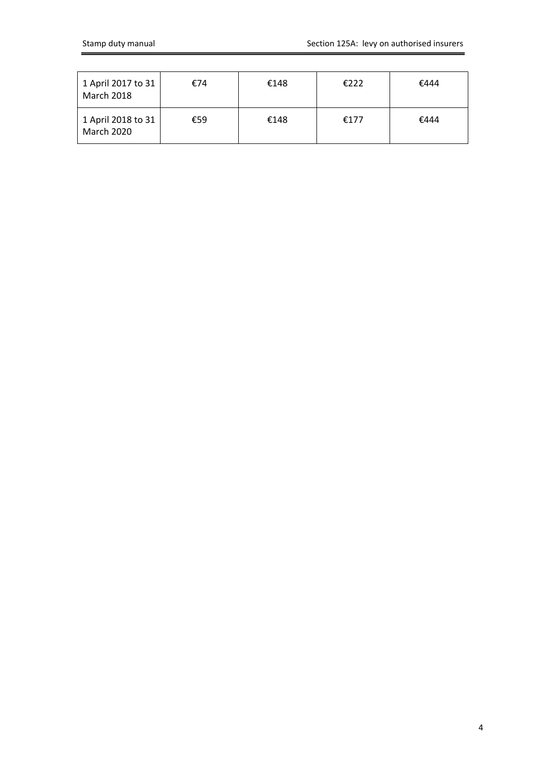| 1 April 2017 to 31<br>March 2018 | €74 | €148 | £222 | €444 |
|----------------------------------|-----|------|------|------|
| 1 April 2018 to 31<br>March 2020 | €59 | €148 | €177 | €444 |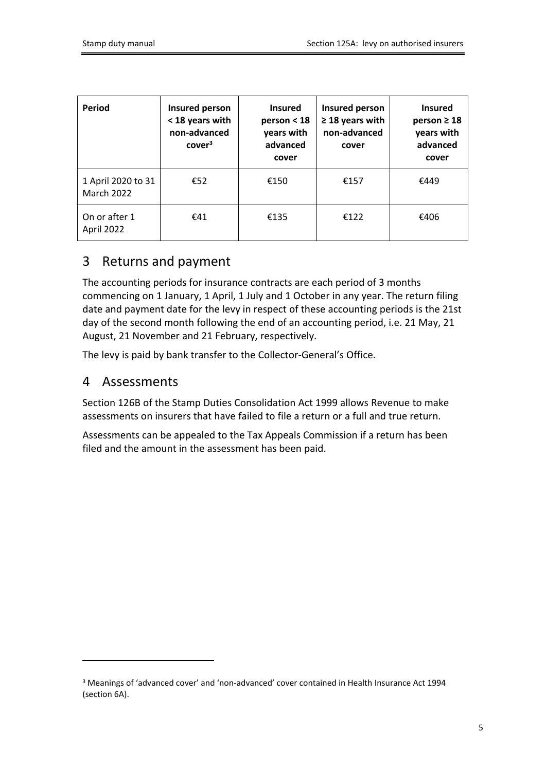| Period                                  | Insured person<br>< 18 years with<br>non-advanced<br>cover <sup>3</sup> | <b>Insured</b><br>person < 18<br>years with<br>advanced<br>cover | Insured person<br>$\geq$ 18 years with<br>non-advanced<br>cover | <b>Insured</b><br>person $\geq 18$<br>years with<br>advanced<br>cover |
|-----------------------------------------|-------------------------------------------------------------------------|------------------------------------------------------------------|-----------------------------------------------------------------|-----------------------------------------------------------------------|
| 1 April 2020 to 31<br><b>March 2022</b> | €52                                                                     | €150                                                             | €157                                                            | €449                                                                  |
| On or after 1<br>April 2022             | £41                                                                     | €135                                                             | £122                                                            | €406                                                                  |

## <span id="page-4-0"></span>3 Returns and payment

The accounting periods for insurance contracts are each period of 3 months commencing on 1 January, 1 April, 1 July and 1 October in any year. The return filing date and payment date for the levy in respect of these accounting periods is the 21st day of the second month following the end of an accounting period, i.e. 21 May, 21 August, 21 November and 21 February, respectively.

The levy is paid by bank transfer to the Collector-General's Office.

### <span id="page-4-1"></span>4 Assessments

Section 126B of the Stamp Duties Consolidation Act 1999 allows Revenue to make assessments on insurers that have failed to file a return or a full and true return.

Assessments can be appealed to the Tax Appeals Commission if a return has been filed and the amount in the assessment has been paid.

<sup>&</sup>lt;sup>3</sup> Meanings of 'advanced cover' and 'non-advanced' cover contained in Health Insurance Act 1994 (section 6A).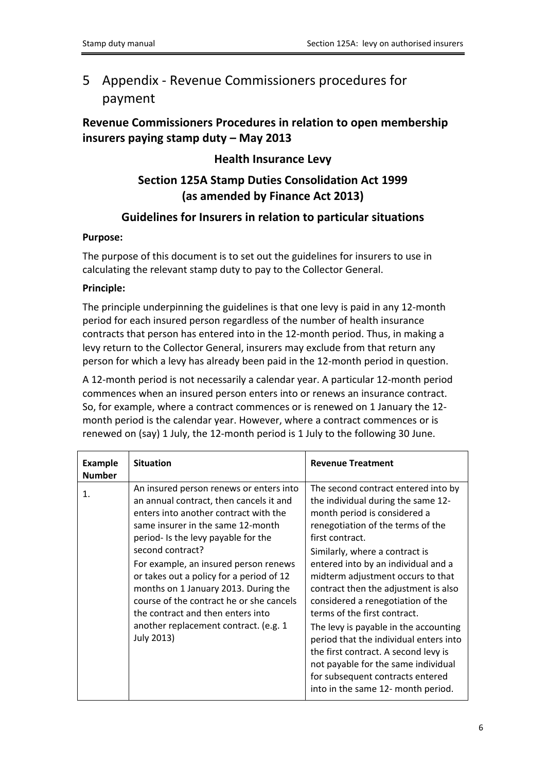# <span id="page-5-0"></span>5 Appendix - Revenue Commissioners procedures for payment

### **Revenue Commissioners Procedures in relation to open membership insurers paying stamp duty – May 2013**

#### **Health Insurance Levy**

### **Section 125A Stamp Duties Consolidation Act 1999 (as amended by Finance Act 2013)**

#### **Guidelines for Insurers in relation to particular situations**

#### **Purpose:**

The purpose of this document is to set out the guidelines for insurers to use in calculating the relevant stamp duty to pay to the Collector General.

#### **Principle:**

The principle underpinning the guidelines is that one levy is paid in any 12-month period for each insured person regardless of the number of health insurance contracts that person has entered into in the 12-month period. Thus, in making a levy return to the Collector General, insurers may exclude from that return any person for which a levy has already been paid in the 12-month period in question.

A 12-month period is not necessarily a calendar year. A particular 12-month period commences when an insured person enters into or renews an insurance contract. So, for example, where a contract commences or is renewed on 1 January the 12 month period is the calendar year. However, where a contract commences or is renewed on (say) 1 July, the 12-month period is 1 July to the following 30 June.

| <b>Example</b><br><b>Number</b> | <b>Situation</b>                                                                                                                                                                                                                                                                                                                                                                                                                                                                                 | <b>Revenue Treatment</b>                                                                                                                                                                                                                                                                                                                                                                                                                                                                                                                                                                                                                 |
|---------------------------------|--------------------------------------------------------------------------------------------------------------------------------------------------------------------------------------------------------------------------------------------------------------------------------------------------------------------------------------------------------------------------------------------------------------------------------------------------------------------------------------------------|------------------------------------------------------------------------------------------------------------------------------------------------------------------------------------------------------------------------------------------------------------------------------------------------------------------------------------------------------------------------------------------------------------------------------------------------------------------------------------------------------------------------------------------------------------------------------------------------------------------------------------------|
| 1.                              | An insured person renews or enters into<br>an annual contract, then cancels it and<br>enters into another contract with the<br>same insurer in the same 12-month<br>period- Is the levy payable for the<br>second contract?<br>For example, an insured person renews<br>or takes out a policy for a period of 12<br>months on 1 January 2013. During the<br>course of the contract he or she cancels<br>the contract and then enters into<br>another replacement contract. (e.g. 1<br>July 2013) | The second contract entered into by<br>the individual during the same 12-<br>month period is considered a<br>renegotiation of the terms of the<br>first contract.<br>Similarly, where a contract is<br>entered into by an individual and a<br>midterm adjustment occurs to that<br>contract then the adjustment is also<br>considered a renegotiation of the<br>terms of the first contract.<br>The levy is payable in the accounting<br>period that the individual enters into<br>the first contract. A second levy is<br>not payable for the same individual<br>for subsequent contracts entered<br>into in the same 12- month period. |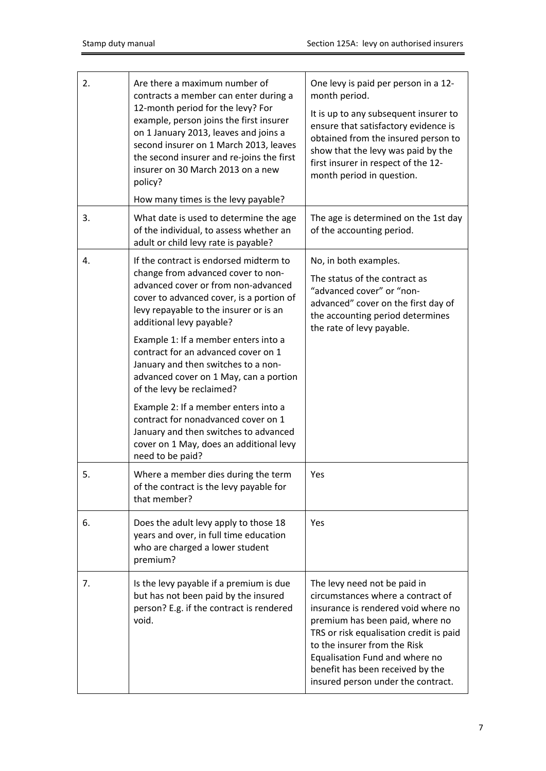| 2. | Are there a maximum number of<br>contracts a member can enter during a<br>12-month period for the levy? For<br>example, person joins the first insurer<br>on 1 January 2013, leaves and joins a<br>second insurer on 1 March 2013, leaves<br>the second insurer and re-joins the first<br>insurer on 30 March 2013 on a new<br>policy?<br>How many times is the levy payable?                                                                                                                                                                                                                                             | One levy is paid per person in a 12-<br>month period.<br>It is up to any subsequent insurer to<br>ensure that satisfactory evidence is<br>obtained from the insured person to<br>show that the levy was paid by the<br>first insurer in respect of the 12-<br>month period in question.                                            |
|----|---------------------------------------------------------------------------------------------------------------------------------------------------------------------------------------------------------------------------------------------------------------------------------------------------------------------------------------------------------------------------------------------------------------------------------------------------------------------------------------------------------------------------------------------------------------------------------------------------------------------------|------------------------------------------------------------------------------------------------------------------------------------------------------------------------------------------------------------------------------------------------------------------------------------------------------------------------------------|
| 3. | What date is used to determine the age<br>of the individual, to assess whether an<br>adult or child levy rate is payable?                                                                                                                                                                                                                                                                                                                                                                                                                                                                                                 | The age is determined on the 1st day<br>of the accounting period.                                                                                                                                                                                                                                                                  |
| 4. | If the contract is endorsed midterm to<br>change from advanced cover to non-<br>advanced cover or from non-advanced<br>cover to advanced cover, is a portion of<br>levy repayable to the insurer or is an<br>additional levy payable?<br>Example 1: If a member enters into a<br>contract for an advanced cover on 1<br>January and then switches to a non-<br>advanced cover on 1 May, can a portion<br>of the levy be reclaimed?<br>Example 2: If a member enters into a<br>contract for nonadvanced cover on 1<br>January and then switches to advanced<br>cover on 1 May, does an additional levy<br>need to be paid? | No, in both examples.<br>The status of the contract as<br>"advanced cover" or "non-<br>advanced" cover on the first day of<br>the accounting period determines<br>the rate of levy payable.                                                                                                                                        |
| 5. | Where a member dies during the term<br>of the contract is the levy payable for<br>that member?                                                                                                                                                                                                                                                                                                                                                                                                                                                                                                                            | Yes                                                                                                                                                                                                                                                                                                                                |
| 6. | Does the adult levy apply to those 18<br>years and over, in full time education<br>who are charged a lower student<br>premium?                                                                                                                                                                                                                                                                                                                                                                                                                                                                                            | Yes                                                                                                                                                                                                                                                                                                                                |
| 7. | Is the levy payable if a premium is due<br>but has not been paid by the insured<br>person? E.g. if the contract is rendered<br>void.                                                                                                                                                                                                                                                                                                                                                                                                                                                                                      | The levy need not be paid in<br>circumstances where a contract of<br>insurance is rendered void where no<br>premium has been paid, where no<br>TRS or risk equalisation credit is paid<br>to the insurer from the Risk<br>Equalisation Fund and where no<br>benefit has been received by the<br>insured person under the contract. |